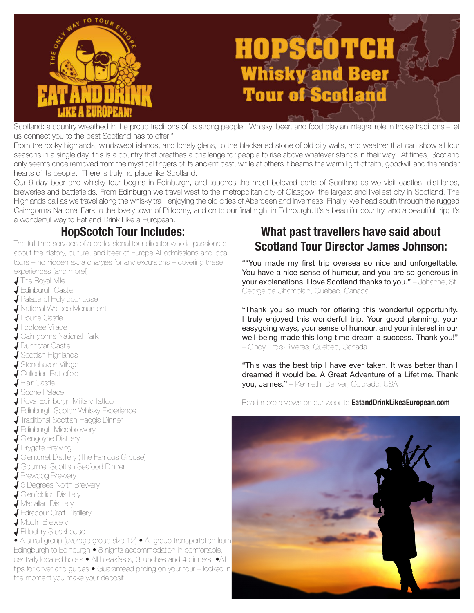

Scotland: a country wreathed in the proud traditions of its strong people. Whisky, beer, and food play an integral role in those traditions – let us connect you to the best Scotland has to offer!"

From the rocky highlands, windswept islands, and lonely glens, to the blackened stone of old city walls, and weather that can show all four seasons in a single day, this is a country that breathes a challenge for people to rise above whatever stands in their way. At times, Scotland only seems once removed from the mystical fingers of its ancient past, while at others it beams the warm light of faith, goodwill and the tender hearts of its people. There is truly no place like Scotland.

Our 9-day beer and whisky tour begins in Edinburgh, and touches the most beloved parts of Scotland as we visit castles, distilleries, breweries and battlefields. From Edinburgh we travel west to the metropolitan city of Glasgow, the largest and liveliest city in Scotland. The Highlands call as we travel along the whisky trail, enjoying the old cities of Aberdeen and Inverness. Finally, we head south through the rugged Cairngorms National Park to the lovely town of Pitlochry, and on to our final night in Edinburgh. It's a beautiful country, and a beautiful trip; it's a wonderful way to Eat and Drink Like a European.

The full-time services of a professional tour director who is passionate about the history, culture, and beer of Europe All admissions and local tours – no hidden extra charges for any excursions – covering these experiences (and more!):

- √ The Royal Mile
- √ Edinburgh Castle
- √ Palace of Holyroodhouse
- √ National Wallace Monument
- √ Doune Castle
- √ Footdee Village
- √ Cairngorms National Park
- √ Dunnotar Castle
- $\overline{\mathbf{J}}$  Scottish Highlands
- √ Stonehaven Village
- √ Culloden Battlefield
- √ Blair Castle
- √ Scone Palace
- √ Royal Edinburgh Military Tattoo
- √ Edinburgh Scotch Whisky Experience
- √ Traditional Scottish Haggis Dinner
- √ Edinburgh Microbrewery
- √ Glengoyne Distillery
- √ Drygate Brewing
- √ Glenturret Distillery (The Famous Grouse)
- √ Gourmet Scottish Seafood Dinner
- √ Brewdog Brewery
- √ 6 Degrees North Brewery
- $J$  Glenfiddich Distillery
- √ Macallan Distillery
- √ Edradour Craft Distillery
- √ Moulin Brewery
- √ Pitlochry Steakhouse

• A small group (average group size 12) • All group transportation from Edingburgh to Edinburgh • 8 nights accommodation in comfortable, centrally located hotels • All breakfasts, 3 lunches and 4 dinners •All tips for driver and guides • Guaranteed pricing on your tour – locked in the moment you make your deposit

# **HopScotch Tour Includes: What past travellers have said about Scotland Tour Director James Johnson:**

""You made my first trip oversea so nice and unforgettable. You have a nice sense of humour, and you are so generous in your explanations. I love Scotland thanks to you." – Johanne, St. George de Champlain, Quebec, Canada

"Thank you so much for offering this wonderful opportunity. I truly enjoyed this wonderful trip. Your good planning, your easygoing ways, your sense of humour, and your interest in our well-being made this long time dream a success. Thank you!" – Cindy, Trois-Rivieres, Quebec, Canada

"This was the best trip I have ever taken. It was better than I dreamed it would be. A Great Adventure of a Lifetime. Thank you, James." – Kenneth, Denver, Colorado, USA

Read more reviews on our website **EatandDrinkLikeaEuropean.com**